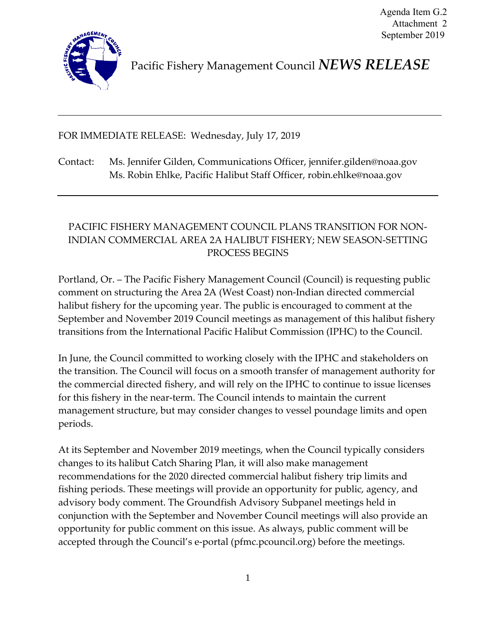

Pacific Fishery Management Council *NEWS RELEASE*

FOR IMMEDIATE RELEASE: Wednesday, July 17, 2019

Contact: Ms. Jennifer Gilden, Communications Officer, jennifer.gilden@noaa.gov Ms. Robin Ehlke, Pacific Halibut Staff Officer, robin.ehlke@noaa.gov

## PACIFIC FISHERY MANAGEMENT COUNCIL PLANS TRANSITION FOR NON-INDIAN COMMERCIAL AREA 2A HALIBUT FISHERY; NEW SEASON-SETTING PROCESS BEGINS

Portland, Or. – The Pacific Fishery Management Council (Council) is requesting public comment on structuring the Area 2A (West Coast) non-Indian directed commercial halibut fishery for the upcoming year. The public is encouraged to comment at the September and November 2019 Council meetings as management of this halibut fishery transitions from the International Pacific Halibut Commission (IPHC) to the Council.

In June, the Council committed to working closely with the IPHC and stakeholders on the transition. The Council will focus on a smooth transfer of management authority for the commercial directed fishery, and will rely on the IPHC to continue to issue licenses for this fishery in the near-term. The Council intends to maintain the current management structure, but may consider changes to vessel poundage limits and open periods.

At its September and November 2019 meetings, when the Council typically considers changes to its halibut Catch Sharing Plan, it will also make management recommendations for the 2020 directed commercial halibut fishery trip limits and fishing periods. These meetings will provide an opportunity for public, agency, and advisory body comment. The Groundfish Advisory Subpanel meetings held in conjunction with the September and November Council meetings will also provide an opportunity for public comment on this issue. As always, public comment will be accepted through the Council's e-portal (pfmc.pcouncil.org) before the meetings.